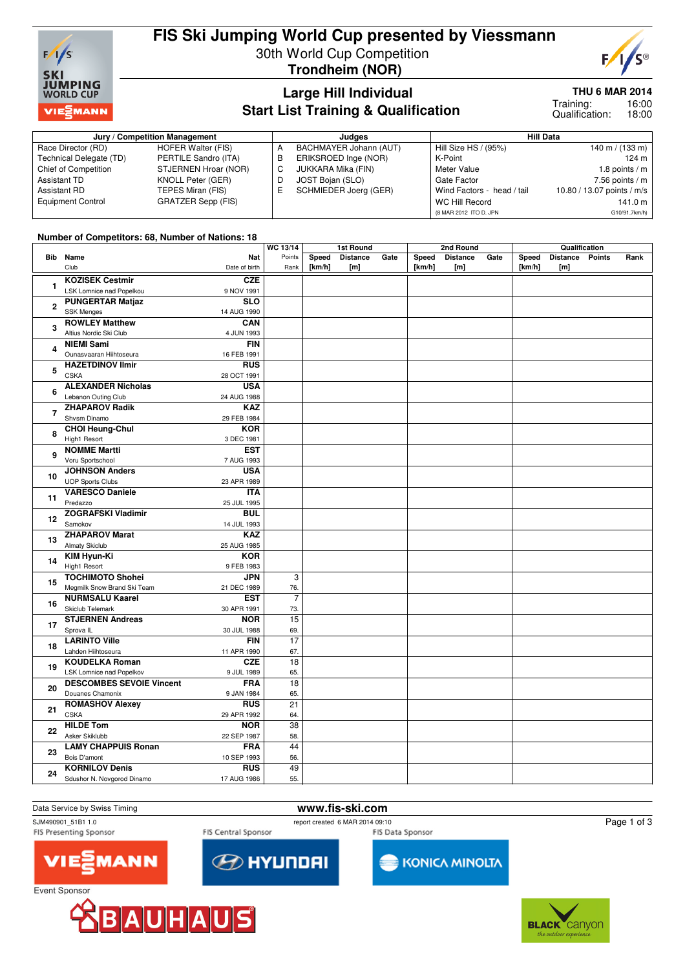

### **FIS Ski Jumping World Cup presented by Viessmann** 30th World Cup Competition **Trondheim (NOR)**



# **Large Hill Individual Start List Training & Qualification**

#### **THU 6 MAR 2014**

16:00 18:00 Training: Qualification:

| Jury / Competition Management |                      |  | Judaes                 | <b>Hill Data</b>           |                            |  |  |
|-------------------------------|----------------------|--|------------------------|----------------------------|----------------------------|--|--|
| Race Director (RD)            | HOFER Walter (FIS)   |  | BACHMAYER Johann (AUT) | Hill Size HS / (95%)       | 140 m / $(133 \text{ m})$  |  |  |
| Technical Delegate (TD)       | PERTILE Sandro (ITA) |  | ERIKSROED Inge (NOR)   | K-Point                    | 124 m                      |  |  |
| <b>Chief of Competition</b>   | STJERNEN Hroar (NOR) |  | JUKKARA Mika (FIN)     | Meter Value                | 1.8 points / m             |  |  |
| Assistant TD                  | KNOLL Peter (GER)    |  | JOST Bojan (SLO)       | Gate Factor                | $7.56$ points / m          |  |  |
| Assistant RD                  | TEPES Miran (FIS)    |  | SCHMIEDER Joerg (GER)  | Wind Factors - head / tail | 10.80 / 13.07 points / m/s |  |  |
| <b>Equipment Control</b>      | GRATZER Sepp (FIS)   |  |                        | WC Hill Record             | 141.0 m                    |  |  |
|                               |                      |  |                        | (8 MAR 2012 ITO D. JPN     | G10/91.7km/h)              |  |  |

#### **Number of Competitors: 68, Number of Nations: 18**

|                |                                              |                           |                | 1st Round       |                        | 2nd Round |                 |                 | Qualification |                 |                 |  |      |
|----------------|----------------------------------------------|---------------------------|----------------|-----------------|------------------------|-----------|-----------------|-----------------|---------------|-----------------|-----------------|--|------|
| <b>Bib</b>     | Name<br>Club                                 | Nat                       | Points         | Speed<br>[km/h] | <b>Distance</b><br>[m] | Gate      | Speed<br>[km/h] | <b>Distance</b> | Gate          | Speed<br>[km/h] | Distance Points |  | Rank |
|                |                                              | Date of birth             | Rank           |                 |                        |           |                 | [m]             |               |                 | [m]             |  |      |
| $\mathbf{1}$   | <b>KOZISEK Cestmir</b>                       | <b>CZE</b>                |                |                 |                        |           |                 |                 |               |                 |                 |  |      |
|                | LSK Lomnice nad Popelkou                     | 9 NOV 1991<br><b>SLO</b>  |                |                 |                        |           |                 |                 |               |                 |                 |  |      |
| $\overline{2}$ | <b>PUNGERTAR Matjaz</b><br><b>SSK Menges</b> |                           |                |                 |                        |           |                 |                 |               |                 |                 |  |      |
|                | <b>ROWLEY Matthew</b>                        | 14 AUG 1990<br>CAN        |                |                 |                        |           |                 |                 |               |                 |                 |  |      |
| 3              | Altius Nordic Ski Club                       | 4 JUN 1993                |                |                 |                        |           |                 |                 |               |                 |                 |  |      |
|                | <b>NIEMI Sami</b>                            | <b>FIN</b>                |                |                 |                        |           |                 |                 |               |                 |                 |  |      |
| 4              | Ounasvaaran Hiihtoseura                      | 16 FEB 1991               |                |                 |                        |           |                 |                 |               |                 |                 |  |      |
|                | <b>HAZETDINOV Ilmir</b>                      | <b>RUS</b>                |                |                 |                        |           |                 |                 |               |                 |                 |  |      |
| 5              | <b>CSKA</b>                                  | 28 OCT 1991               |                |                 |                        |           |                 |                 |               |                 |                 |  |      |
|                | <b>ALEXANDER Nicholas</b>                    | <b>USA</b>                |                |                 |                        |           |                 |                 |               |                 |                 |  |      |
| 6              | Lebanon Outing Club                          | 24 AUG 1988               |                |                 |                        |           |                 |                 |               |                 |                 |  |      |
|                | <b>ZHAPAROV Radik</b>                        | <b>KAZ</b>                |                |                 |                        |           |                 |                 |               |                 |                 |  |      |
| $\overline{7}$ | Shysm Dinamo                                 | 29 FEB 1984               |                |                 |                        |           |                 |                 |               |                 |                 |  |      |
|                | <b>CHOI Heung-Chul</b>                       | <b>KOR</b>                |                |                 |                        |           |                 |                 |               |                 |                 |  |      |
| 8              | High1 Resort                                 | 3 DEC 1981                |                |                 |                        |           |                 |                 |               |                 |                 |  |      |
|                | <b>NOMME Martti</b>                          | <b>EST</b>                |                |                 |                        |           |                 |                 |               |                 |                 |  |      |
| 9              | Voru Sportschool                             | 7 AUG 1993                |                |                 |                        |           |                 |                 |               |                 |                 |  |      |
|                | <b>JOHNSON Anders</b>                        | <b>USA</b>                |                |                 |                        |           |                 |                 |               |                 |                 |  |      |
| 10             | <b>UOP Sports Clubs</b>                      | 23 APR 1989               |                |                 |                        |           |                 |                 |               |                 |                 |  |      |
| 11             | <b>VARESCO Daniele</b>                       | <b>ITA</b>                |                |                 |                        |           |                 |                 |               |                 |                 |  |      |
|                | Predazzo                                     | 25 JUL 1995               |                |                 |                        |           |                 |                 |               |                 |                 |  |      |
| 12             | <b>ZOGRAFSKI Vladimir</b>                    | <b>BUL</b>                |                |                 |                        |           |                 |                 |               |                 |                 |  |      |
|                | Samokov                                      | 14 JUL 1993               |                |                 |                        |           |                 |                 |               |                 |                 |  |      |
| 13             | <b>ZHAPAROV Marat</b>                        | <b>KAZ</b>                |                |                 |                        |           |                 |                 |               |                 |                 |  |      |
|                | <b>Almaty Skiclub</b>                        | 25 AUG 1985               |                |                 |                        |           |                 |                 |               |                 |                 |  |      |
| 14             | <b>KIM Hyun-Ki</b>                           | <b>KOR</b>                |                |                 |                        |           |                 |                 |               |                 |                 |  |      |
|                | <b>High1 Resort</b>                          | 9 FEB 1983                |                |                 |                        |           |                 |                 |               |                 |                 |  |      |
| 15             | <b>TOCHIMOTO Shohei</b>                      | <b>JPN</b>                | 3              |                 |                        |           |                 |                 |               |                 |                 |  |      |
|                | Megmilk Snow Brand Ski Team                  | 21 DEC 1989               | 76.            |                 |                        |           |                 |                 |               |                 |                 |  |      |
| 16             | <b>NURMSALU Kaarel</b>                       | <b>EST</b>                | $\overline{7}$ |                 |                        |           |                 |                 |               |                 |                 |  |      |
|                | Skiclub Telemark                             | 30 APR 1991               | 73.            |                 |                        |           |                 |                 |               |                 |                 |  |      |
| 17             | <b>STJERNEN Andreas</b>                      | <b>NOR</b>                | 15             |                 |                        |           |                 |                 |               |                 |                 |  |      |
|                | Sprova <sub>IL</sub><br><b>LARINTO Ville</b> | 30 JUL 1988<br><b>FIN</b> | 69.<br>17      |                 |                        |           |                 |                 |               |                 |                 |  |      |
| 18             | Lahden Hiihtoseura                           |                           |                |                 |                        |           |                 |                 |               |                 |                 |  |      |
|                | <b>KOUDELKA Roman</b>                        | 11 APR 1990<br><b>CZE</b> | 67.<br>18      |                 |                        |           |                 |                 |               |                 |                 |  |      |
| 19             | LSK Lomnice nad Popelkov                     | 9 JUL 1989                | 65.            |                 |                        |           |                 |                 |               |                 |                 |  |      |
|                | <b>DESCOMBES SEVOIE Vincent</b>              | <b>FRA</b>                | 18             |                 |                        |           |                 |                 |               |                 |                 |  |      |
| 20             | Douanes Chamonix                             | 9 JAN 1984                | 65.            |                 |                        |           |                 |                 |               |                 |                 |  |      |
|                | <b>ROMASHOV Alexey</b>                       | <b>RUS</b>                | 21             |                 |                        |           |                 |                 |               |                 |                 |  |      |
| 21             | <b>CSKA</b>                                  | 29 APR 1992               | 64.            |                 |                        |           |                 |                 |               |                 |                 |  |      |
|                | <b>HILDE Tom</b>                             | <b>NOR</b>                | 38             |                 |                        |           |                 |                 |               |                 |                 |  |      |
| 22             | Asker Skiklubb                               | 22 SEP 1987               | 58.            |                 |                        |           |                 |                 |               |                 |                 |  |      |
|                | <b>LAMY CHAPPUIS Ronan</b>                   | <b>FRA</b>                | 44             |                 |                        |           |                 |                 |               |                 |                 |  |      |
| 23             | Bois D'amont                                 | 10 SEP 1993               | 56.            |                 |                        |           |                 |                 |               |                 |                 |  |      |
|                | <b>KORNILOV Denis</b>                        | <b>RUS</b>                | 49             |                 |                        |           |                 |                 |               |                 |                 |  |      |
| 24             | Sdushor N. Novgorod Dinamo                   | 17 AUG 1986               | 55.            |                 |                        |           |                 |                 |               |                 |                 |  |      |
|                |                                              |                           |                |                 |                        |           |                 |                 |               |                 |                 |  |      |

# Data Service by Swiss Timing **www.fis-ski.com**<br>
SJM490901 51B1 1.0<br>
webort created 6 MAR 2014 09:1

FIS Presenting Sponsor

FIS Central Sponsor

**EXPLAY UP OF STREET** 

report created 6 MAR 2014 09:10 FIS Data Sponsor



Event Sponsor



MANN



Page 1 of 3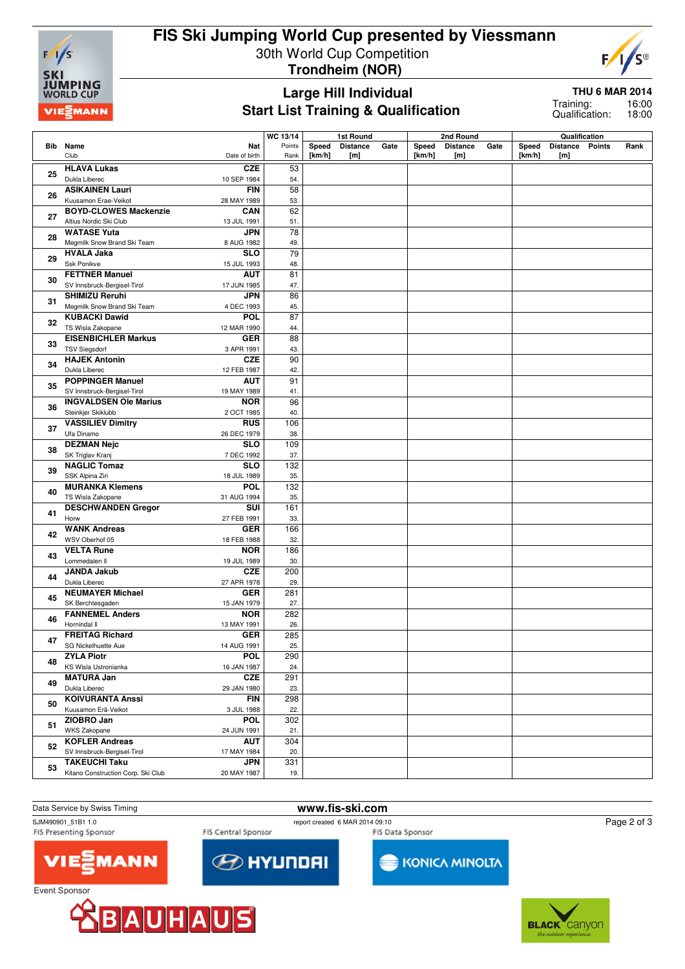

## **FIS Ski Jumping World Cup presented by Viessmann** 30th World Cup Competition **Trondheim (NOR)**



#### **Large Hill Individual Start List Training & Qualification**

**THU 6 MAR 2014**

16:00 18:00 Training: Qualification:

|    |                                            | WC 13/14        |        | 1st Round       |      |        | 2nd Round       |      |        | Qualification   |      |
|----|--------------------------------------------|-----------------|--------|-----------------|------|--------|-----------------|------|--------|-----------------|------|
|    | Bib Name<br>Nat                            | Points          | Speed  | <b>Distance</b> | Gate | Speed  | <b>Distance</b> | Gate | Speed  | Distance Points | Rank |
|    | Club<br>Date of birth                      | Rank            | [km/h] | [m]             |      | [km/h] | [m]             |      | [km/h] | [m]             |      |
|    | <b>HLAVA Lukas</b><br><b>CZE</b>           | 53              |        |                 |      |        |                 |      |        |                 |      |
| 25 |                                            |                 |        |                 |      |        |                 |      |        |                 |      |
|    | Dukla Liberec<br>10 SEP 1984               | 54.             |        |                 |      |        |                 |      |        |                 |      |
| 26 | <b>FIN</b><br><b>ASIKAINEN Lauri</b>       | 58              |        |                 |      |        |                 |      |        |                 |      |
|    | Kuusamon Erae-Veikot<br>28 MAY 1989        | 53.             |        |                 |      |        |                 |      |        |                 |      |
|    | <b>BOYD-CLOWES Mackenzie</b><br><b>CAN</b> | 62              |        |                 |      |        |                 |      |        |                 |      |
| 27 | Altius Nordic Ski Club<br>13 JUL 1991      | 51.             |        |                 |      |        |                 |      |        |                 |      |
|    | <b>WATASE Yuta</b><br><b>JPN</b>           | 78              |        |                 |      |        |                 |      |        |                 |      |
| 28 | Megmilk Snow Brand Ski Team<br>8 AUG 1982  | 49.             |        |                 |      |        |                 |      |        |                 |      |
|    | <b>SLO</b><br><b>HVALA Jaka</b>            | 79              |        |                 |      |        |                 |      |        |                 |      |
| 29 |                                            |                 |        |                 |      |        |                 |      |        |                 |      |
|    | Ssk Ponikve<br>15 JUL 1993                 | 48.             |        |                 |      |        |                 |      |        |                 |      |
| 30 | <b>FETTNER Manuel</b><br><b>AUT</b>        | 81              |        |                 |      |        |                 |      |        |                 |      |
|    | SV Innsbruck-Bergisel-Tirol<br>17 JUN 1985 | 47.             |        |                 |      |        |                 |      |        |                 |      |
|    | <b>SHIMIZU Reruhi</b><br><b>JPN</b>        | 86              |        |                 |      |        |                 |      |        |                 |      |
| 31 | Megmilk Snow Brand Ski Team<br>4 DEC 1993  | 45.             |        |                 |      |        |                 |      |        |                 |      |
|    | <b>KUBACKI Dawid</b><br><b>POL</b>         | 87              |        |                 |      |        |                 |      |        |                 |      |
| 32 | TS Wisla Zakopane<br>12 MAR 1990           | 44.             |        |                 |      |        |                 |      |        |                 |      |
|    | <b>EISENBICHLER Markus</b><br><b>GER</b>   | $\overline{88}$ |        |                 |      |        |                 |      |        |                 |      |
| 33 |                                            |                 |        |                 |      |        |                 |      |        |                 |      |
|    | <b>TSV Siegsdorf</b><br>3 APR 1991         | 43.             |        |                 |      |        |                 |      |        |                 |      |
| 34 | <b>HAJEK Antonin</b><br><b>CZE</b>         | 90              |        |                 |      |        |                 |      |        |                 |      |
|    | Dukla Liberec<br>12 FEB 1987               | 42.             |        |                 |      |        |                 |      |        |                 |      |
|    | <b>POPPINGER Manuel</b><br><b>AUT</b>      | 91              |        |                 |      |        |                 |      |        |                 |      |
| 35 | SV Innsbruck-Bergisel-Tirol<br>19 MAY 1989 | 41.             |        |                 |      |        |                 |      |        |                 |      |
|    | <b>NOR</b><br><b>INGVALDSEN Ole Marius</b> | 96              |        |                 |      |        |                 |      |        |                 |      |
| 36 | Steinkjer Skiklubb<br>2 OCT 1985           | 40.             |        |                 |      |        |                 |      |        |                 |      |
|    | <b>VASSILIEV Dimitry</b><br><b>RUS</b>     | 106             |        |                 |      |        |                 |      |        |                 |      |
| 37 | Ufa Dinamo<br>26 DEC 1979                  | 38.             |        |                 |      |        |                 |      |        |                 |      |
|    |                                            |                 |        |                 |      |        |                 |      |        |                 |      |
| 38 | <b>DEZMAN Nejc</b><br><b>SLO</b>           | 109             |        |                 |      |        |                 |      |        |                 |      |
|    | SK Triglav Kranj<br>7 DEC 1992             | 37.             |        |                 |      |        |                 |      |        |                 |      |
| 39 | <b>NAGLIC Tomaz</b><br><b>SLO</b>          | 132             |        |                 |      |        |                 |      |        |                 |      |
|    | SSK Alpina Ziri<br>18 JUL 1989             | 35.             |        |                 |      |        |                 |      |        |                 |      |
|    | <b>POL</b><br><b>MURANKA Klemens</b>       | 132             |        |                 |      |        |                 |      |        |                 |      |
| 40 | TS Wisla Zakopane<br>31 AUG 1994           | 35.             |        |                 |      |        |                 |      |        |                 |      |
|    | <b>DESCHWANDEN Gregor</b><br>SUI           | 161             |        |                 |      |        |                 |      |        |                 |      |
| 41 | Horw<br>27 FEB 1991                        | 33.             |        |                 |      |        |                 |      |        |                 |      |
|    | <b>WANK Andreas</b><br><b>GER</b>          | 166             |        |                 |      |        |                 |      |        |                 |      |
| 42 | WSV Oberhof 05<br>18 FEB 1988              | 32.             |        |                 |      |        |                 |      |        |                 |      |
|    | <b>VELTA Rune</b><br><b>NOR</b>            | 186             |        |                 |      |        |                 |      |        |                 |      |
| 43 | Lommedalen II                              | 30.             |        |                 |      |        |                 |      |        |                 |      |
|    | 19 JUL 1989                                |                 |        |                 |      |        |                 |      |        |                 |      |
| 44 | <b>JANDA Jakub</b><br><b>CZE</b>           | 200             |        |                 |      |        |                 |      |        |                 |      |
|    | Dukla Liberec<br>27 APR 1978               | 29.             |        |                 |      |        |                 |      |        |                 |      |
| 45 | <b>NEUMAYER Michael</b><br><b>GER</b>      | 281             |        |                 |      |        |                 |      |        |                 |      |
|    | SK Berchtesgaden<br>15 JAN 1979            | 27.             |        |                 |      |        |                 |      |        |                 |      |
|    | <b>FANNEMEL Anders</b><br><b>NOR</b>       | 282             |        |                 |      |        |                 |      |        |                 |      |
| 46 | Hornindal II<br>13 MAY 1991                | 26.             |        |                 |      |        |                 |      |        |                 |      |
|    | <b>FREITAG Richard</b><br><b>GER</b>       | 285             |        |                 |      |        |                 |      |        |                 |      |
| 47 | SG Nickelhuette Aue<br>14 AUG 1991         | 25.             |        |                 |      |        |                 |      |        |                 |      |
|    | <b>ZYLA Piotr</b><br><b>POL</b>            | 290             |        |                 |      |        |                 |      |        |                 |      |
| 48 |                                            |                 |        |                 |      |        |                 |      |        |                 |      |
|    | KS Wisla Ustronianka<br>16 JAN 1987        | 24.             |        |                 |      |        |                 |      |        |                 |      |
| 49 | <b>MATURA Jan</b><br><b>CZE</b>            | 291             |        |                 |      |        |                 |      |        |                 |      |
|    | Dukla Liberec<br>29 JAN 1980               | 23.             |        |                 |      |        |                 |      |        |                 |      |
|    | <b>KOIVURANTA Anssi</b><br><b>FIN</b>      | 298             |        |                 |      |        |                 |      |        |                 |      |
| 50 | Kuusamon Erä-Veikot<br>3 JUL 1988          | 22.             |        |                 |      |        |                 |      |        |                 |      |
|    | ZIOBRO Jan<br><b>POL</b>                   | 302             |        |                 |      |        |                 |      |        |                 |      |
| 51 | WKS Zakopane<br>24 JUN 1991                | 21.             |        |                 |      |        |                 |      |        |                 |      |
|    | <b>KOFLER Andreas</b><br><b>AUT</b>        | 304             |        |                 |      |        |                 |      |        |                 |      |
| 52 | SV Innsbruck-Bergisel-Tirol<br>17 MAY 1984 | 20.             |        |                 |      |        |                 |      |        |                 |      |
|    | <b>TAKEUCHI Taku</b><br><b>JPN</b>         | 331             |        |                 |      |        |                 |      |        |                 |      |
| 53 | Kitano Construction Corp. Ski Club         |                 |        |                 |      |        |                 |      |        |                 |      |
|    | 20 MAY 1987                                | 19.             |        |                 |      |        |                 |      |        |                 |      |

#### Data Service by Swiss Timing **www.fis-ski.com**

SJM490901\_51B1 1.0<br>FIS Presenting Sponsor FIS Central Sponsor FIS Central Sponsor FIS Presenting Sponsor FIS Presenting Sponsor

FIS Central Sponsor

**EXPLAY UNDER** 

KONICA MINOLTA

Page 2 of 3